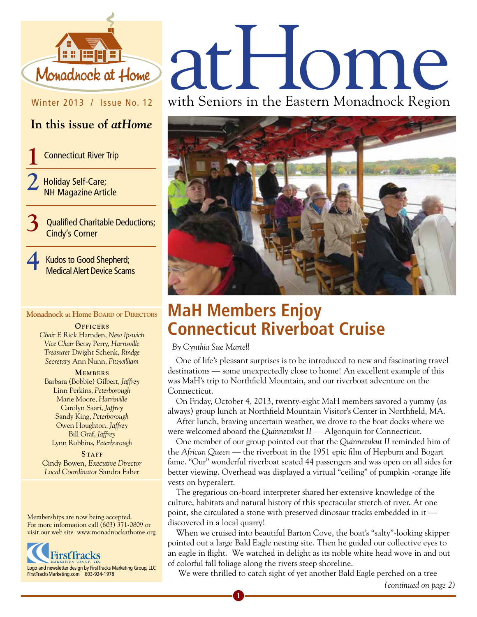

#### Winter 2013 / Issue No. 12

#### **In this issue of** *atHome*

**Connecticut River Trip** 

**2** Holiday Self-Care; NH Magazine Article

> **3** Qualified Charitable Deductions; Cindy's Corner

**4** Kudos to Good Shepherd; Medical Alert Device Scams

#### **Monadnock at Home Board of Directors**

**OFFICERS** *Chair* F. Rick Harnden, *New Ipswich Vice Chair* Betsy Perry, *Harrisville Treasurer* Dwight Schenk, *Rindge Secretary* Ann Nunn, *Fitzwilliam*

#### **MEMBERS**

Barbara (Bobbie) Gilbert, *Jaffrey* Linn Perkins, *Peterborough* Marie Moore, *Harrisville* Carolyn Saari, *Jaffrey* Sandy King, *Peterborough* Owen Houghton, *Jaffrey* Bill Graf, *Jaffrey* Lynn Robbins, *Peterborough*

**STAFF** Cindy Bowen, *Executive Director Local Coordinator* Sandra Faber

Memberships are now being accepted. For more information call (603) 371-0809 or visit our web site www.monadnockathome.org



# Monadhock at Home at HOMP

with Seniors in the Eastern Monadnock Region



# **MaH Members Enjoy Connecticut Riverboat Cruise**

 *By Cynthia Sue Martell*

One of life's pleasant surprises is to be introduced to new and fascinating travel destinations — some unexpectedly close to home! An excellent example of this was MaH's trip to Northfield Mountain, and our riverboat adventure on the Connecticut.

On Friday, October 4, 2013, twenty-eight MaH members savored a yummy (as always) group lunch at Northfield Mountain Visitor's Center in Northfield, MA.

After lunch, braving uncertain weather, we drove to the boat docks where we were welcomed aboard the *Quinnetukut II* — Algonquin for Connecticut.

One member of our group pointed out that the *Quinnetukut II* reminded him of the *African Queen* — the riverboat in the 1951 epic film of Hepburn and Bogart fame. "Our" wonderful riverboat seated 44 passengers and was open on all sides for better viewing. Overhead was displayed a virtual "ceiling" of pumpkin -orange life vests on hyperalert.

The gregarious on-board interpreter shared her extensive knowledge of the culture, habitats and natural history of this spectacular stretch of river. At one point, she circulated a stone with preserved dinosaur tracks embedded in it discovered in a local quarry!

When we cruised into beautiful Barton Cove, the boat's "salty"-looking skipper pointed out a large Bald Eagle nesting site. Then he guided our collective eyes to an eagle in flight. We watched in delight as its noble white head wove in and out of colorful fall foliage along the rivers steep shoreline.

We were thrilled to catch sight of yet another Bald Eagle perched on a tree

**1**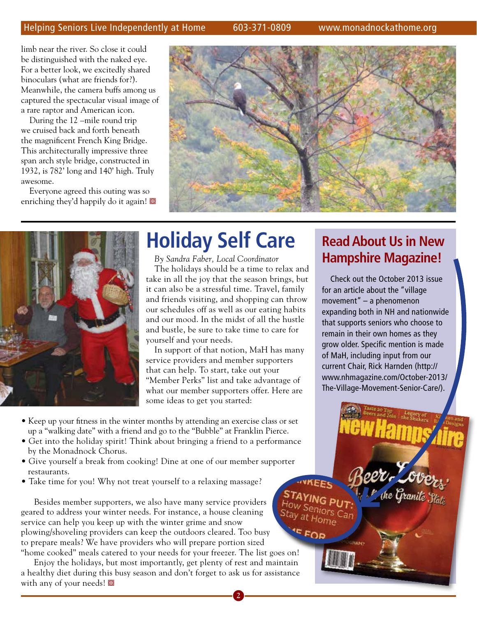limb near the river. So close it could be distinguished with the naked eye. For a better look, we excitedly shared binoculars (what are friends for?). Meanwhile, the camera buffs among us captured the spectacular visual image of a rare raptor and American icon.

During the 12 –mile round trip we cruised back and forth beneath the magnificent French King Bridge. This architecturally impressive three span arch style bridge, constructed in 1932, is 782' long and 140' high. Truly awesome.

Everyone agreed this outing was so enriching they'd happily do it again!





# **Holiday Self Care**

*By Sandra Faber, Local Coordinator* The holidays should be a time to relax and take in all the joy that the season brings, but it can also be a stressful time. Travel, family and friends visiting, and shopping can throw our schedules off as well as our eating habits and our mood. In the midst of all the hustle and bustle, be sure to take time to care for yourself and your needs.

In support of that notion, MaH has many service providers and member supporters that can help. To start, take out your "Member Perks" list and take advantage of what our member supporters offer. Here are some ideas to get you started:

**2**

 $45<sub>F0</sub>$ 

- Keep up your fitness in the winter months by attending an exercise class or set up a "walking date" with a friend and go to the "Bubble" at Franklin Pierce.
- Get into the holiday spirit! Think about bringing a friend to a performance by the Monadnock Chorus.
- Give yourself a break from cooking! Dine at one of our member supporter restaurants.
- Take time for you! Why not treat yourself to a relaxing massage?

 Besides member supporters, we also have many service providers geared to address your winter needs. For instance, a house cleaning service can help you keep up with the winter grime and snow plowing/shoveling providers can keep the outdoors cleared. Too busy to prepare meals? We have providers who will prepare portion sized "home cooked" meals catered to your needs for your freezer. The list goes on!

 Enjoy the holidays, but most importantly, get plenty of rest and maintain a healthy diet during this busy season and don't forget to ask us for assistance with any of your needs!

## **Read About Us in New Hampshire Magazine!**

Check out the October 2013 issue for an article about the "village movement" – a phenomenon expanding both in NH and nationwide that supports seniors who choose to remain in their own homes as they grow older. Specific mention is made of MaH, including input from our current Chair, Rick Harnden (http:// www.nhmagazine.com/October-2013/ The-Village-Movement-Senior-Care/).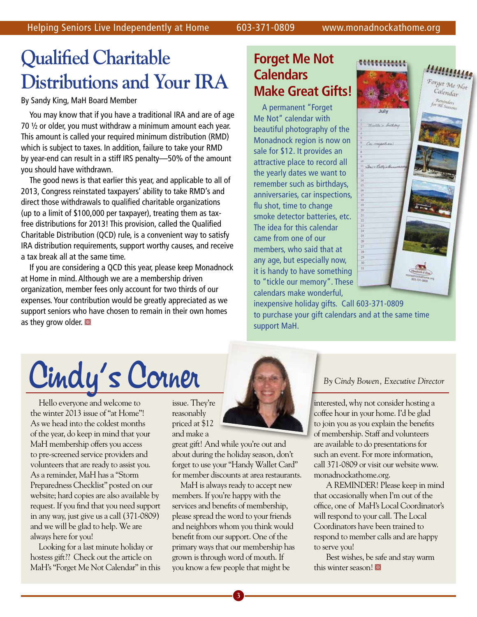# **Qualified Charitable Distributions and Your IRA**

#### By Sandy King, MaH Board Member

You may know that if you have a traditional IRA and are of age 70 ½ or older, you must withdraw a minimum amount each year. This amount is called your required minimum distribution (RMD) which is subject to taxes. In addition, failure to take your RMD by year-end can result in a stiff IRS penalty—50% of the amount you should have withdrawn.

The good news is that earlier this year, and applicable to all of 2013, Congress reinstated taxpayers' ability to take RMD's and direct those withdrawals to qualified charitable organizations (up to a limit of \$100,000 per taxpayer), treating them as taxfree distributions for 2013! This provision, called the Qualified Charitable Distribution (QCD) rule, is a convenient way to satisfy IRA distribution requirements, support worthy causes, and receive a tax break all at the same time.

If you are considering a QCD this year, please keep Monadnock at Home in mind. Although we are a membership driven organization, member fees only account for two thirds of our expenses. Your contribution would be greatly appreciated as we support seniors who have chosen to remain in their own homes as they grow older.

#### **Forget Me Not Calendars Make Great Gifts!**

A permanent "Forget Me Not" calendar with beautiful photography of the Monadnock region is now on sale for \$12. It provides an attractive place to record all the yearly dates we want to remember such as birthdays, anniversaries, car inspections, flu shot, time to change smoke detector batteries, etc. The idea for this calendar came from one of our members, who said that at any age, but especially now, it is handy to have something to "tickle our memory". These calendars make wonderful,



inexpensive holiday gifts. Call 603-371-0809 to purchase your gift calendars and at the same time support MaH.

# Cindy's Corner

Hello everyone and welcome to the winter 2013 issue of "at Home"! As we head into the coldest months of the year, do keep in mind that your MaH membership offers you access to pre-screened service providers and volunteers that are ready to assist you. As a reminder, MaH has a "Storm Preparedness Checklist" posted on our website; hard copies are also available by request. If you find that you need support in any way, just give us a call (371-0809) and we will be glad to help. We are always here for you!

Looking for a last minute holiday or hostess gift?? Check out the article on MaH's "Forget Me Not Calendar" in this issue. They're reasonably priced at \$12 and make a

great gift! And while you're out and about during the holiday season, don't forget to use your "Handy Wallet Card" for member discounts at area restaurants.

MaH is always ready to accept new members. If you're happy with the services and benefits of membership, please spread the word to your friends and neighbors whom you think would benefit from our support. One of the primary ways that our membership has grown is through word of mouth. If you know a few people that might be



interested, why not consider hosting a coffee hour in your home. I'd be glad to join you as you explain the benefits of membership. Staff and volunteers are available to do presentations for such an event. For more information, call 371-0809 or visit our website www. monadnockathome.org.

 A REMINDER! Please keep in mind that occasionally when I'm out of the office, one of MaH's Local Coordinator's will respond to your call. The Local Coordinators have been trained to respond to member calls and are happy to serve you!

 Best wishes, be safe and stay warm this winter season!